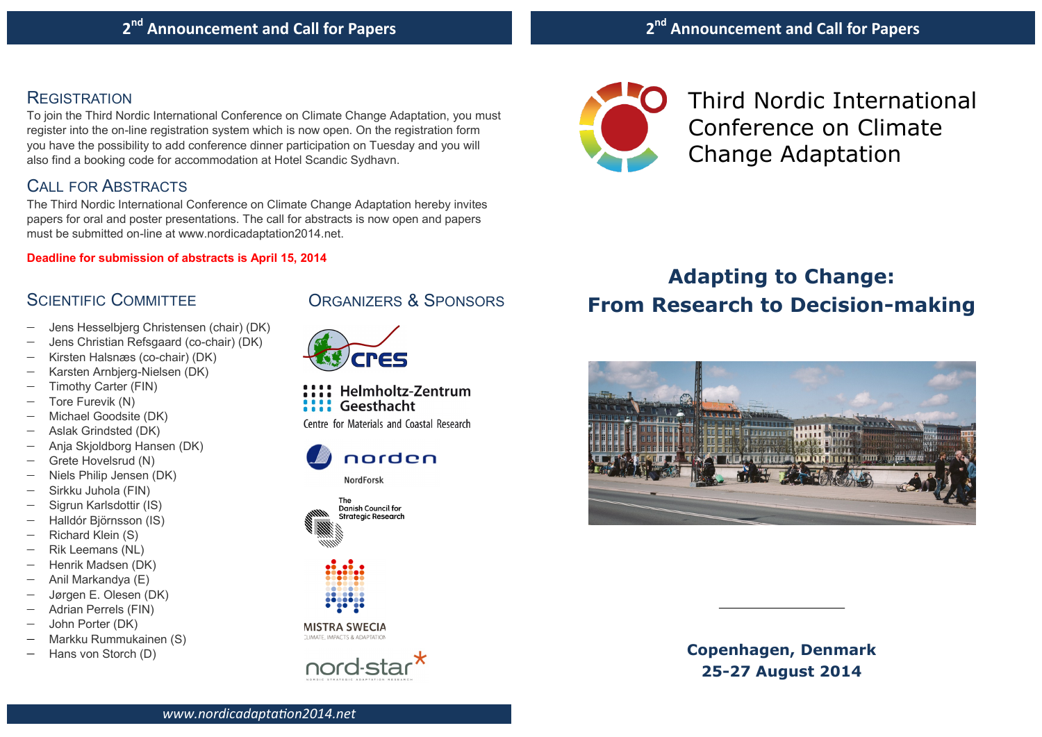## **REGISTRATION**

To join the Third Nordic International Conference on Climate Change Adaptation, you must register into the on-line registration system which is now open. On the registration form you have the possibility to add conference dinner participation on Tuesday and you will also find a booking code for accommodation at Hotel Scandic Sydhavn.

# CALL FOR ABSTRACTS

The Third Nordic International Conference on Climate Change Adaptation hereby invites papers for oral and poster presentations. The call for abstracts is now open and papers must be submitted on-line at www.nordicadaptation2014.net.

### **Deadline for submission of abstracts is April 15, 2014**

# SCIENTIFIC COMMITTEE

- Jens Hesselbjerg Christensen (chair) (DK)
- Jens Christian Refsgaard (co-chair) (DK)
- Kirsten Halsnæs (co-chair) (DK)
- Karsten Arnbjerg-Nielsen (DK)
- Timothy Carter (FIN)
- Tore Furevik (N)
- Michael Goodsite (DK)
- Aslak Grindsted (DK)
- Anja Skjoldborg Hansen (DK)
- Grete Hovelsrud (N)
- Niels Philip Jensen (DK)
- Sirkku Juhola (FIN)
- Sigrun Karlsdottir (IS)
- Halldór Björnsson (IS)
- Richard Klein (S)
- Rik Leemans (NL)
- Henrik Madsen (DK)
- Anil Markandya (E)
- Jørgen E. Olesen (DK)
- Adrian Perrels (FIN)
- John Porter (DK)
- Markku Rummukainen (S)
- Hans von Storch (D)





Helmholtz-Zentrum Geesthacht Centre for Materials and Coastal Research







**IMATE IMPACTS & ADAPTATION** 





Third Nordic International Conference on Climate Change Adaptation

# **Adapting to Change: From Research to Decision-making**



**Copenhagen, Denmark 25-27 August 2014**